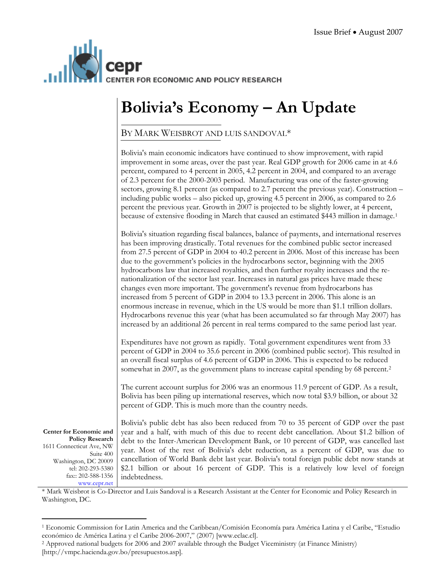

## **Bolivia's Economy – An Update**

## BY MARK WEISBROT AND LUIS SANDOVAL\*

|                                                                                                                                                                               | Bolivia's main economic indicators have continued to show improvement, with rapid<br>improvement in some areas, over the past year. Real GDP growth for 2006 came in at 4.6<br>percent, compared to 4 percent in 2005, 4.2 percent in 2004, and compared to an average<br>of 2.3 percent for the 2000-2003 period. Manufacturing was one of the faster-growing<br>sectors, growing 8.1 percent (as compared to 2.7 percent the previous year). Construction -<br>including public works – also picked up, growing 4.5 percent in 2006, as compared to 2.6<br>percent the previous year. Growth in 2007 is projected to be slightly lower, at 4 percent,<br>because of extensive flooding in March that caused an estimated \$443 million in damage. <sup>1</sup>                                                                                                                                                                                                                                                               |
|-------------------------------------------------------------------------------------------------------------------------------------------------------------------------------|--------------------------------------------------------------------------------------------------------------------------------------------------------------------------------------------------------------------------------------------------------------------------------------------------------------------------------------------------------------------------------------------------------------------------------------------------------------------------------------------------------------------------------------------------------------------------------------------------------------------------------------------------------------------------------------------------------------------------------------------------------------------------------------------------------------------------------------------------------------------------------------------------------------------------------------------------------------------------------------------------------------------------------|
|                                                                                                                                                                               | Bolivia's situation regarding fiscal balances, balance of payments, and international reserves<br>has been improving drastically. Total revenues for the combined public sector increased<br>from 27.5 percent of GDP in 2004 to 40.2 percent in 2006. Most of this increase has been<br>due to the government's policies in the hydrocarbons sector, beginning with the 2005<br>hydrocarbons law that increased royalties, and then further royalty increases and the re-<br>nationalization of the sector last year. Increases in natural gas prices have made these<br>changes even more important. The government's revenue from hydrocarbons has<br>increased from 5 percent of GDP in 2004 to 13.3 percent in 2006. This alone is an<br>enormous increase in revenue, which in the US would be more than \$1.1 trillion dollars.<br>Hydrocarbons revenue this year (what has been accumulated so far through May 2007) has<br>increased by an additional 26 percent in real terms compared to the same period last year. |
|                                                                                                                                                                               | Expenditures have not grown as rapidly. Total government expenditures went from 33<br>percent of GDP in 2004 to 35.6 percent in 2006 (combined public sector). This resulted in<br>an overall fiscal surplus of 4.6 percent of GDP in 2006. This is expected to be reduced<br>somewhat in 2007, as the government plans to increase capital spending by 68 percent. <sup>2</sup>                                                                                                                                                                                                                                                                                                                                                                                                                                                                                                                                                                                                                                               |
|                                                                                                                                                                               | The current account surplus for 2006 was an enormous 11.9 percent of GDP. As a result,<br>Bolivia has been piling up international reserves, which now total \$3.9 billion, or about 32<br>percent of GDP. This is much more than the country needs.                                                                                                                                                                                                                                                                                                                                                                                                                                                                                                                                                                                                                                                                                                                                                                           |
| Center for Economic and<br><b>Policy Research</b><br>1611 Connecticut Ave, NW<br>Suite 400<br>Washington, DC 20009<br>tel: 202-293-5380<br>fax:: 202-588-1356<br>www.cepr.net | Bolivia's public debt has also been reduced from 70 to 35 percent of GDP over the past<br>year and a half, with much of this due to recent debt cancellation. About \$1.2 billion of<br>debt to the Inter-American Development Bank, or 10 percent of GDP, was cancelled last<br>year. Most of the rest of Bolivia's debt reduction, as a percent of GDP, was due to<br>cancellation of World Bank debt last year. Bolivia's total foreign public debt now stands at<br>\$2.1 billion or about 16 percent of GDP. This is a relatively low level of foreign<br>indebtedness.                                                                                                                                                                                                                                                                                                                                                                                                                                                   |

\* Mark Weisbrot is Co-Director and Luis Sandoval is a Research Assistant at the Center for Economic and Policy Research in Washington, DC.

<span id="page-0-1"></span>[http://vmpc.hacienda.gov.bo/presupuestos.asp].

<span id="page-0-0"></span> 1 Economic Commission for Latin America and the Caribbean/Comisión Economía para América Latina y el Caribe, "Estudio económico de América Latina y el Caribe 2006-2007," (2007) [www.eclac.cl]. 2 Approved national budgets for 2006 and 2007 available through the Budget Viceministry (at Finance Ministry)